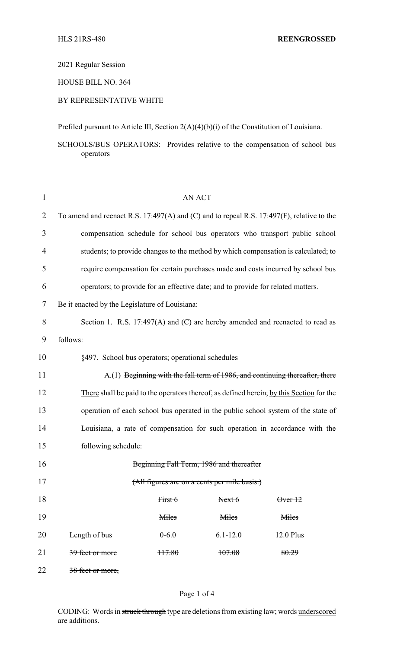2021 Regular Session

HOUSE BILL NO. 364

# BY REPRESENTATIVE WHITE

Prefiled pursuant to Article III, Section 2(A)(4)(b)(i) of the Constitution of Louisiana.

SCHOOLS/BUS OPERATORS: Provides relative to the compensation of school bus operators

| $\mathbf{1}$   | <b>AN ACT</b>                                                                             |         |              |                 |  |
|----------------|-------------------------------------------------------------------------------------------|---------|--------------|-----------------|--|
| $\overline{2}$ | To amend and reenact R.S. 17:497(A) and (C) and to repeal R.S. 17:497(F), relative to the |         |              |                 |  |
| 3              | compensation schedule for school bus operators who transport public school                |         |              |                 |  |
| 4              | students; to provide changes to the method by which compensation is calculated; to        |         |              |                 |  |
| 5              | require compensation for certain purchases made and costs incurred by school bus          |         |              |                 |  |
| 6              | operators; to provide for an effective date; and to provide for related matters.          |         |              |                 |  |
| 7              | Be it enacted by the Legislature of Louisiana:                                            |         |              |                 |  |
| 8              | Section 1. R.S. 17:497(A) and (C) are hereby amended and reenacted to read as             |         |              |                 |  |
| 9              | follows:                                                                                  |         |              |                 |  |
| 10             | §497. School bus operators; operational schedules                                         |         |              |                 |  |
| 11             | A.(1) Beginning with the fall term of 1986, and continuing thereafter, there              |         |              |                 |  |
| 12             | There shall be paid to the operators thereof, as defined herein, by this Section for the  |         |              |                 |  |
| 13             | operation of each school bus operated in the public school system of the state of         |         |              |                 |  |
| 14             | Louisiana, a rate of compensation for such operation in accordance with the               |         |              |                 |  |
| 15             | following schedule:                                                                       |         |              |                 |  |
| 16             | Beginning Fall Term, 1986 and thereafter                                                  |         |              |                 |  |
| 17             | (All figures are on a cents per mile basis.)                                              |         |              |                 |  |
| 18             |                                                                                           | First 6 | Next 6       | $\theta$ ver 12 |  |
| 19             |                                                                                           | Miles   | Miles        | Miles           |  |
| 20             | Length of bus                                                                             | $0-6.0$ | $6.1 - 12.0$ | $12.0$ Plus     |  |
| 21             | 39 feet or more                                                                           | H7.80   | 107.08       | 80.29           |  |
|                |                                                                                           |         |              |                 |  |

22 38 feet or more,

#### Page 1 of 4

CODING: Words in struck through type are deletions from existing law; words underscored are additions.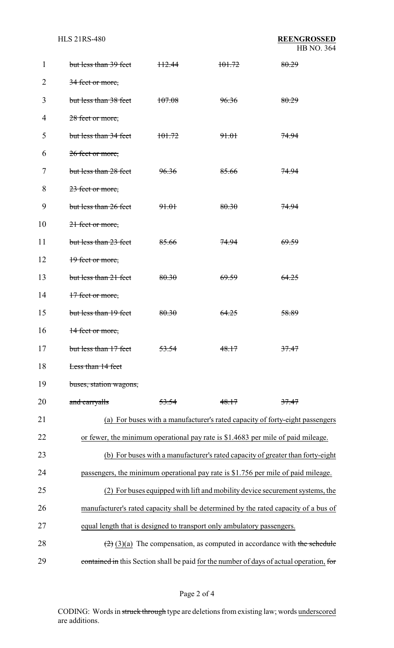| 1  | but less than 39 feet                                                               | <del>112.44</del> | <del>101.72</del> | 80.29                                                                                          |  |
|----|-------------------------------------------------------------------------------------|-------------------|-------------------|------------------------------------------------------------------------------------------------|--|
| 2  | 34 feet or more,                                                                    |                   |                   |                                                                                                |  |
| 3  | but less than 38 feet                                                               | 107.08            | 96.36             | 80.29                                                                                          |  |
| 4  | 28 feet or more,                                                                    |                   |                   |                                                                                                |  |
| 5  | but less than 34 feet                                                               | 101.72            | 91.01             | <del>74.94</del>                                                                               |  |
| 6  | 26 feet or more,                                                                    |                   |                   |                                                                                                |  |
| 7  | but less than 28 feet                                                               | 96.36             | 85.66             | <del>74.94</del>                                                                               |  |
| 8  | 23 feet or more,                                                                    |                   |                   |                                                                                                |  |
| 9  | but less than 26 feet                                                               | <del>91.01</del>  | 80.30             | <del>74.94</del>                                                                               |  |
| 10 | 21 feet or more,                                                                    |                   |                   |                                                                                                |  |
| 11 | but less than 23 feet                                                               | 85.66             | <del>74.94</del>  | <del>69.59</del>                                                                               |  |
| 12 | 19 feet or more,                                                                    |                   |                   |                                                                                                |  |
| 13 | but less than 21 feet                                                               | 80.30             | <del>69.59</del>  | 64.25                                                                                          |  |
| 14 | 17 feet or more,                                                                    |                   |                   |                                                                                                |  |
| 15 | but less than 19 feet                                                               | 80.30             | <del>64.25</del>  | 58.89                                                                                          |  |
| 16 | 14 feet or more,                                                                    |                   |                   |                                                                                                |  |
| 17 | but less than 17 feet                                                               | 53.54             | 48.17             | 37.47                                                                                          |  |
| 18 | Less than 14 feet                                                                   |                   |                   |                                                                                                |  |
| 19 | buses, station wagons,                                                              |                   |                   |                                                                                                |  |
| 20 | and carryalls                                                                       | 53.54             | 48.17             | 37.47                                                                                          |  |
| 21 | (a) For buses with a manufacturer's rated capacity of forty-eight passengers        |                   |                   |                                                                                                |  |
| 22 | or fewer, the minimum operational pay rate is \$1.4683 per mile of paid mileage.    |                   |                   |                                                                                                |  |
| 23 | (b) For buses with a manufacturer's rated capacity of greater than forty-eight      |                   |                   |                                                                                                |  |
| 24 | passengers, the minimum operational pay rate is \$1.756 per mile of paid mileage.   |                   |                   |                                                                                                |  |
| 25 | (2) For buses equipped with lift and mobility device securement systems, the        |                   |                   |                                                                                                |  |
| 26 | manufacturer's rated capacity shall be determined by the rated capacity of a bus of |                   |                   |                                                                                                |  |
| 27 | equal length that is designed to transport only ambulatory passengers.              |                   |                   |                                                                                                |  |
| 28 |                                                                                     |                   |                   | $\left(\frac{2}{2}\right)(3)(a)$ The compensation, as computed in accordance with the schedule |  |
| 29 |                                                                                     |                   |                   | contained in this Section shall be paid for the number of days of actual operation, for        |  |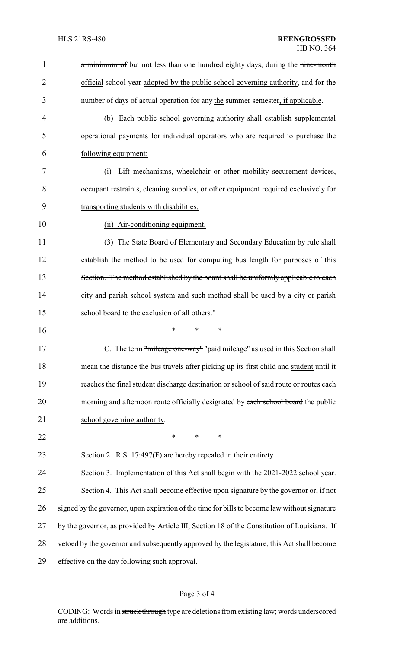| $\mathbf{1}$   | a minimum of but not less than one hundred eighty days, during the nine-month                 |
|----------------|-----------------------------------------------------------------------------------------------|
| $\overline{2}$ | official school year adopted by the public school governing authority, and for the            |
| 3              | number of days of actual operation for any the summer semester, if applicable.                |
| 4              | (b) Each public school governing authority shall establish supplemental                       |
| 5              | operational payments for individual operators who are required to purchase the                |
| 6              | following equipment:                                                                          |
| 7              | Lift mechanisms, wheelchair or other mobility securement devices,<br>(i)                      |
| 8              | occupant restraints, cleaning supplies, or other equipment required exclusively for           |
| 9              | transporting students with disabilities.                                                      |
| 10             | (ii) Air-conditioning equipment.                                                              |
| 11             | (3) The State Board of Elementary and Secondary Education by rule shall                       |
| 12             | establish the method to be used for computing bus length for purposes of this                 |
| 13             | Section. The method established by the board shall be uniformly applicable to each            |
| 14             | city and parish school system and such method shall be used by a city or parish               |
| 15             | school board to the exclusion of all others."                                                 |
| 16             | $\ast$<br>∗<br>∗                                                                              |
| 17             | C. The term "mileage one-way" "paid mileage" as used in this Section shall                    |
| 18             | mean the distance the bus travels after picking up its first child and student until it       |
| 19             | reaches the final student discharge destination or school of said route or routes each        |
| 20             | morning and afternoon route officially designated by each school board the public             |
| 21             | school governing authority.                                                                   |
| 22             | $\ast$<br>$\ast$<br>*                                                                         |
| 23             | Section 2. R.S. 17:497(F) are hereby repealed in their entirety.                              |
| 24             | Section 3. Implementation of this Act shall begin with the 2021-2022 school year.             |
| 25             | Section 4. This Act shall become effective upon signature by the governor or, if not          |
| 26             | signed by the governor, upon expiration of the time for bills to become law without signature |
| 27             | by the governor, as provided by Article III, Section 18 of the Constitution of Louisiana. If  |
| 28             | vetoed by the governor and subsequently approved by the legislature, this Act shall become    |
| 29             | effective on the day following such approval.                                                 |